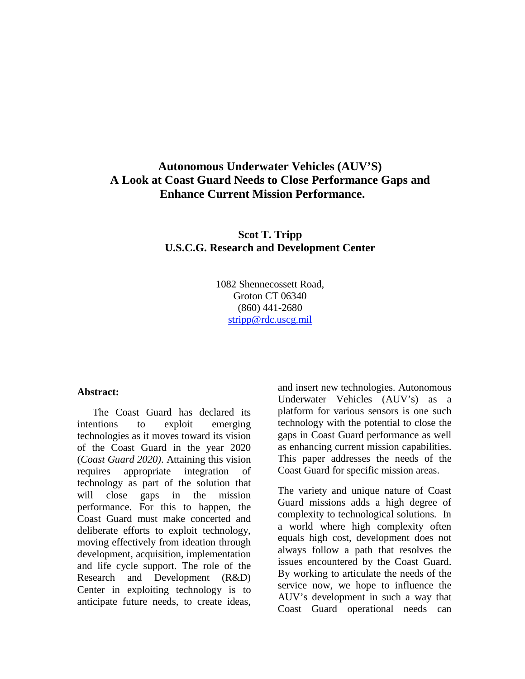# **Autonomous Underwater Vehicles (AUV'S) A Look at Coast Guard Needs to Close Performance Gaps and Enhance Current Mission Performance.**

**Scot T. Tripp U.S.C.G. Research and Development Center** 

> 1082 Shennecossett Road, Groton CT 06340 (860) 441-2680 stripp@rdc.uscg.mil

#### **Abstract:**

The Coast Guard has declared its intentions to exploit emerging technologies as it moves toward its vision of the Coast Guard in the year 2020 (*Coast Guard 2020)*. Attaining this vision requires appropriate integration of technology as part of the solution that will close gaps in the mission performance. For this to happen, the Coast Guard must make concerted and deliberate efforts to exploit technology, moving effectively from ideation through development, acquisition, implementation and life cycle support. The role of the Research and Development (R&D) Center in exploiting technology is to anticipate future needs, to create ideas,

and insert new technologies. Autonomous Underwater Vehicles (AUV's) as a platform for various sensors is one such technology with the potential to close the gaps in Coast Guard performance as well as enhancing current mission capabilities. This paper addresses the needs of the Coast Guard for specific mission areas.

The variety and unique nature of Coast Guard missions adds a high degree of complexity to technological solutions. In a world where high complexity often equals high cost, development does not always follow a path that resolves the issues encountered by the Coast Guard. By working to articulate the needs of the service now, we hope to influence the AUV's development in such a way that Coast Guard operational needs can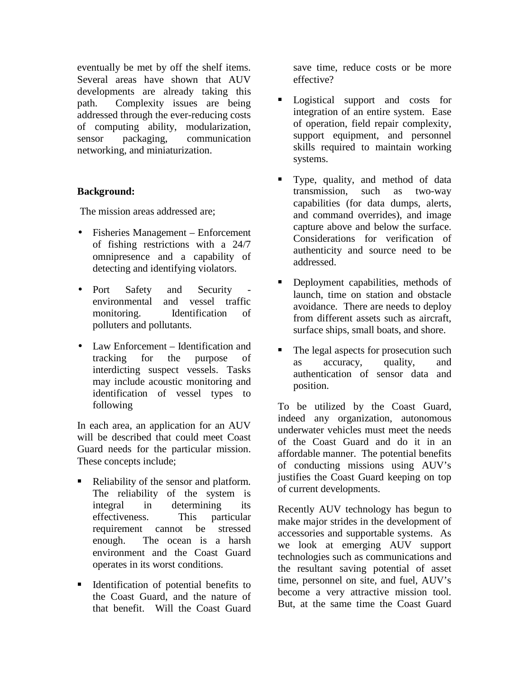eventually be met by off the shelf items. Several areas have shown that AUV developments are already taking this path. Complexity issues are being addressed through the ever-reducing costs of computing ability, modularization, sensor packaging, communication networking, and miniaturization.

### **Background:**

The mission areas addressed are;

- Fisheries Management Enforcement of fishing restrictions with a 24/7 omnipresence and a capability of detecting and identifying violators.
- Port Safety and Security environmental and vessel traffic monitoring. Identification of polluters and pollutants.
- Law Enforcement Identification and tracking for the purpose of interdicting suspect vessels. Tasks may include acoustic monitoring and identification of vessel types to following

In each area, an application for an AUV will be described that could meet Coast Guard needs for the particular mission. These concepts include;

- Reliability of the sensor and platform. The reliability of the system is integral in determining its effectiveness. This particular requirement cannot be stressed enough. The ocean is a harsh environment and the Coast Guard operates in its worst conditions.
- Identification of potential benefits to the Coast Guard, and the nature of that benefit. Will the Coast Guard

save time, reduce costs or be more effective?

- Logistical support and costs for integration of an entire system. Ease of operation, field repair complexity, support equipment, and personnel skills required to maintain working systems.
- Type, quality, and method of data transmission, such as two-way capabilities (for data dumps, alerts, and command overrides), and image capture above and below the surface. Considerations for verification of authenticity and source need to be addressed.
- Deployment capabilities, methods of launch, time on station and obstacle avoidance. There are needs to deploy from different assets such as aircraft, surface ships, small boats, and shore.
- The legal aspects for prosecution such as accuracy, quality, and authentication of sensor data and position.

To be utilized by the Coast Guard, indeed any organization, autonomous underwater vehicles must meet the needs of the Coast Guard and do it in an affordable manner. The potential benefits of conducting missions using AUV's justifies the Coast Guard keeping on top of current developments.

Recently AUV technology has begun to make major strides in the development of accessories and supportable systems. As we look at emerging AUV support technologies such as communications and the resultant saving potential of asset time, personnel on site, and fuel, AUV's become a very attractive mission tool. But, at the same time the Coast Guard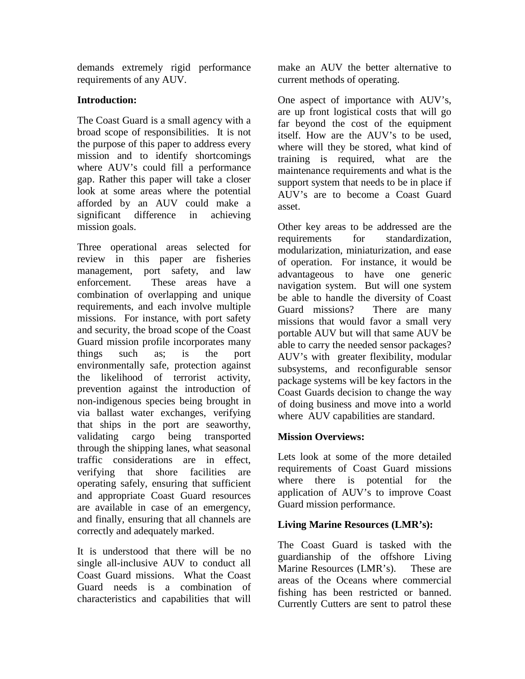demands extremely rigid performance requirements of any AUV.

## **Introduction:**

The Coast Guard is a small agency with a broad scope of responsibilities. It is not the purpose of this paper to address every mission and to identify shortcomings where AUV's could fill a performance gap. Rather this paper will take a closer look at some areas where the potential afforded by an AUV could make a significant difference in achieving mission goals.

Three operational areas selected for review in this paper are fisheries management, port safety, and law enforcement. These areas have a combination of overlapping and unique requirements, and each involve multiple missions. For instance, with port safety and security, the broad scope of the Coast Guard mission profile incorporates many things such as; is the port environmentally safe, protection against the likelihood of terrorist activity, prevention against the introduction of non-indigenous species being brought in via ballast water exchanges, verifying that ships in the port are seaworthy, validating cargo being transported through the shipping lanes, what seasonal traffic considerations are in effect, verifying that shore facilities are operating safely, ensuring that sufficient and appropriate Coast Guard resources are available in case of an emergency, and finally, ensuring that all channels are correctly and adequately marked.

It is understood that there will be no single all-inclusive AUV to conduct all Coast Guard missions. What the Coast Guard needs is a combination of characteristics and capabilities that will

make an AUV the better alternative to current methods of operating.

One aspect of importance with AUV's, are up front logistical costs that will go far beyond the cost of the equipment itself. How are the AUV's to be used, where will they be stored, what kind of training is required, what are the maintenance requirements and what is the support system that needs to be in place if AUV's are to become a Coast Guard asset.

Other key areas to be addressed are the requirements for standardization, modularization, miniaturization, and ease of operation. For instance, it would be advantageous to have one generic navigation system. But will one system be able to handle the diversity of Coast Guard missions? There are many missions that would favor a small very portable AUV but will that same AUV be able to carry the needed sensor packages? AUV's with greater flexibility, modular subsystems, and reconfigurable sensor package systems will be key factors in the Coast Guards decision to change the way of doing business and move into a world where AUV capabilities are standard.

## **Mission Overviews:**

Lets look at some of the more detailed requirements of Coast Guard missions where there is potential for the application of AUV's to improve Coast Guard mission performance.

# **Living Marine Resources (LMR's):**

The Coast Guard is tasked with the guardianship of the offshore Living Marine Resources (LMR's). These are areas of the Oceans where commercial fishing has been restricted or banned. Currently Cutters are sent to patrol these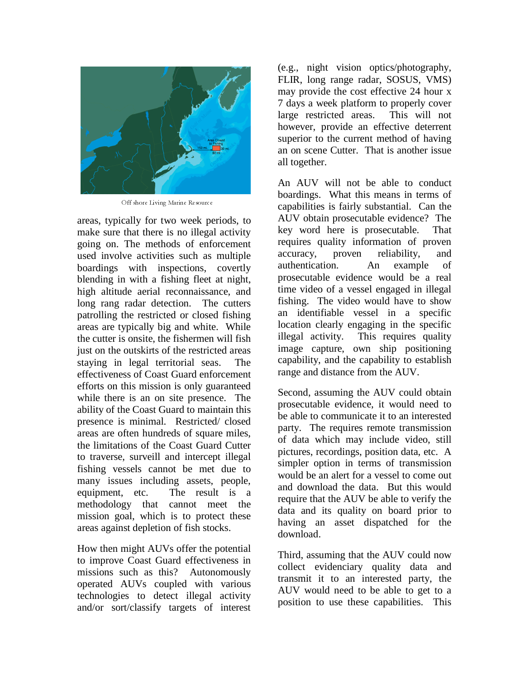

Off shore Living Marine Resource

areas, typically for two week periods, to make sure that there is no illegal activity going on. The methods of enforcement used involve activities such as multiple boardings with inspections, covertly blending in with a fishing fleet at night, high altitude aerial reconnaissance, and long rang radar detection. The cutters patrolling the restricted or closed fishing areas are typically big and white. While the cutter is onsite, the fishermen will fish just on the outskirts of the restricted areas staying in legal territorial seas. The effectiveness of Coast Guard enforcement efforts on this mission is only guaranteed while there is an on site presence. The ability of the Coast Guard to maintain this presence is minimal. Restricted/ closed areas are often hundreds of square miles, the limitations of the Coast Guard Cutter to traverse, surveill and intercept illegal fishing vessels cannot be met due to many issues including assets, people, equipment, etc. The result is a methodology that cannot meet the mission goal, which is to protect these areas against depletion of fish stocks.

How then might AUVs offer the potential to improve Coast Guard effectiveness in missions such as this? Autonomously operated AUVs coupled with various technologies to detect illegal activity and/or sort/classify targets of interest

(e.g., night vision optics/photography, FLIR, long range radar, SOSUS, VMS) may provide the cost effective 24 hour x 7 days a week platform to properly cover large restricted areas. This will not however, provide an effective deterrent superior to the current method of having an on scene Cutter. That is another issue all together.

An AUV will not be able to conduct boardings. What this means in terms of capabilities is fairly substantial. Can the AUV obtain prosecutable evidence? The key word here is prosecutable. That requires quality information of proven accuracy, proven reliability, and authentication. An example of prosecutable evidence would be a real time video of a vessel engaged in illegal fishing. The video would have to show an identifiable vessel in a specific location clearly engaging in the specific illegal activity. This requires quality image capture, own ship positioning capability, and the capability to establish range and distance from the AUV.

Second, assuming the AUV could obtain prosecutable evidence, it would need to be able to communicate it to an interested party. The requires remote transmission of data which may include video, still pictures, recordings, position data, etc. A simpler option in terms of transmission would be an alert for a vessel to come out and download the data. But this would require that the AUV be able to verify the data and its quality on board prior to having an asset dispatched for the download.

Third, assuming that the AUV could now collect evidenciary quality data and transmit it to an interested party, the AUV would need to be able to get to a position to use these capabilities. This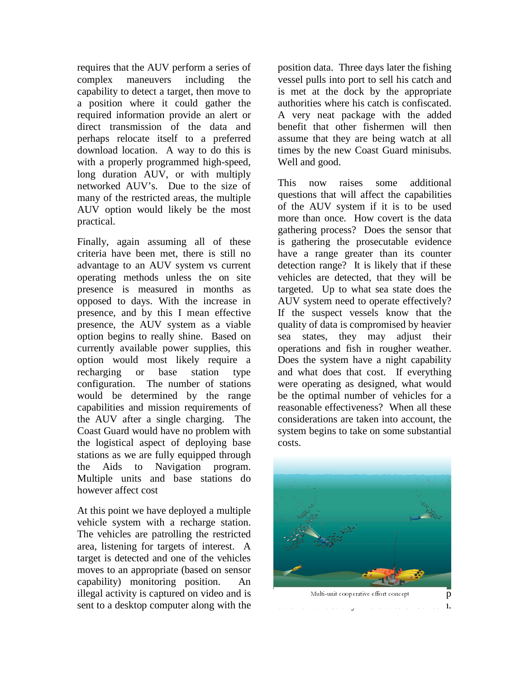requires that the AUV perform a series of complex maneuvers including the capability to detect a target, then move to a position where it could gather the required information provide an alert or direct transmission of the data and perhaps relocate itself to a preferred download location. A way to do this is with a properly programmed high-speed, long duration AUV, or with multiply networked AUV's. Due to the size of many of the restricted areas, the multiple AUV option would likely be the most practical.

Finally, again assuming all of these criteria have been met, there is still no advantage to an AUV system vs current operating methods unless the on site presence is measured in months as opposed to days. With the increase in presence, and by this I mean effective presence, the AUV system as a viable option begins to really shine. Based on currently available power supplies, this option would most likely require a recharging or base station type configuration. The number of stations would be determined by the range capabilities and mission requirements of the AUV after a single charging. The Coast Guard would have no problem with the logistical aspect of deploying base stations as we are fully equipped through the Aids to Navigation program. Multiple units and base stations do however affect cost

At this point we have deployed a multiple vehicle system with a recharge station. The vehicles are patrolling the restricted area, listening for targets of interest. A target is detected and one of the vehicles moves to an appropriate (based on sensor capability) monitoring position. An illegal activity is captured on video and is sent to a desktop computer along with the position data. Three days later the fishing vessel pulls into port to sell his catch and is met at the dock by the appropriate authorities where his catch is confiscated. A very neat package with the added benefit that other fishermen will then assume that they are being watch at all times by the new Coast Guard minisubs. Well and good.

This now raises some additional questions that will affect the capabilities of the AUV system if it is to be used more than once. How covert is the data gathering process? Does the sensor that is gathering the prosecutable evidence have a range greater than its counter detection range? It is likely that if these vehicles are detected, that they will be targeted. Up to what sea state does the AUV system need to operate effectively? If the suspect vessels know that the quality of data is compromised by heavier sea states, they may adjust their operations and fish in rougher weather. Does the system have a night capability and what does that cost. If everything were operating as designed, what would be the optimal number of vehicles for a reasonable effectiveness? When all these considerations are taken into account, the system begins to take on some substantial costs.

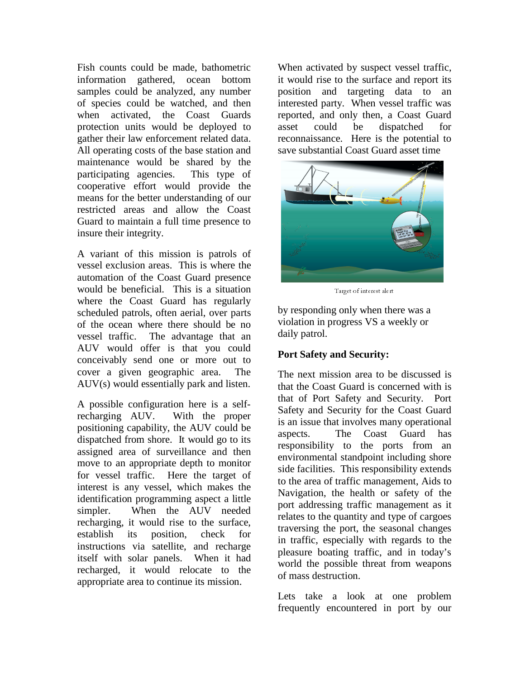Fish counts could be made, bathometric information gathered, ocean bottom samples could be analyzed, any number of species could be watched, and then when activated, the Coast Guards protection units would be deployed to gather their law enforcement related data. All operating costs of the base station and maintenance would be shared by the participating agencies. This type of cooperative effort would provide the means for the better understanding of our restricted areas and allow the Coast Guard to maintain a full time presence to insure their integrity.

A variant of this mission is patrols of vessel exclusion areas. This is where the automation of the Coast Guard presence would be beneficial. This is a situation where the Coast Guard has regularly scheduled patrols, often aerial, over parts of the ocean where there should be no vessel traffic. The advantage that an AUV would offer is that you could conceivably send one or more out to cover a given geographic area. The AUV(s) would essentially park and listen.

A possible configuration here is a selfrecharging AUV. With the proper positioning capability, the AUV could be dispatched from shore. It would go to its assigned area of surveillance and then move to an appropriate depth to monitor for vessel traffic. Here the target of interest is any vessel, which makes the identification programming aspect a little simpler. When the AUV needed recharging, it would rise to the surface, establish its position, check for instructions via satellite, and recharge itself with solar panels. When it had recharged, it would relocate to the appropriate area to continue its mission.

When activated by suspect vessel traffic, it would rise to the surface and report its position and targeting data to an interested party. When vessel traffic was reported, and only then, a Coast Guard asset could be dispatched for reconnaissance. Here is the potential to save substantial Coast Guard asset time



Target of interest alert

by responding only when there was a violation in progress VS a weekly or daily patrol.

## **Port Safety and Security:**

The next mission area to be discussed is that the Coast Guard is concerned with is that of Port Safety and Security. Port Safety and Security for the Coast Guard is an issue that involves many operational aspects. The Coast Guard has responsibility to the ports from an environmental standpoint including shore side facilities. This responsibility extends to the area of traffic management, Aids to Navigation, the health or safety of the port addressing traffic management as it relates to the quantity and type of cargoes traversing the port, the seasonal changes in traffic, especially with regards to the pleasure boating traffic, and in today's world the possible threat from weapons of mass destruction.

Lets take a look at one problem frequently encountered in port by our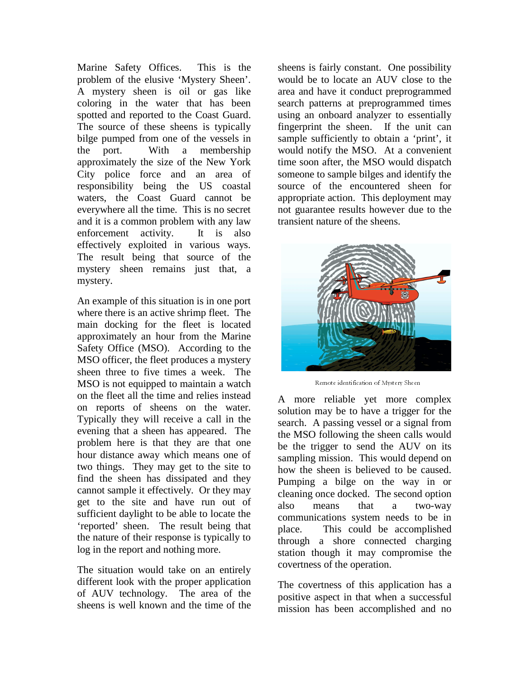Marine Safety Offices. This is the problem of the elusive 'Mystery Sheen'. A mystery sheen is oil or gas like coloring in the water that has been spotted and reported to the Coast Guard. The source of these sheens is typically bilge pumped from one of the vessels in the port. With a membership approximately the size of the New York City police force and an area of responsibility being the US coastal waters, the Coast Guard cannot be everywhere all the time. This is no secret and it is a common problem with any law enforcement activity. It is also effectively exploited in various ways. The result being that source of the mystery sheen remains just that, a mystery.

An example of this situation is in one port where there is an active shrimp fleet. The main docking for the fleet is located approximately an hour from the Marine Safety Office (MSO). According to the MSO officer, the fleet produces a mystery sheen three to five times a week. The MSO is not equipped to maintain a watch on the fleet all the time and relies instead on reports of sheens on the water. Typically they will receive a call in the evening that a sheen has appeared. The problem here is that they are that one hour distance away which means one of two things. They may get to the site to find the sheen has dissipated and they cannot sample it effectively. Or they may get to the site and have run out of sufficient daylight to be able to locate the 'reported' sheen. The result being that the nature of their response is typically to log in the report and nothing more.

The situation would take on an entirely different look with the proper application of AUV technology. The area of the sheens is well known and the time of the sheens is fairly constant. One possibility would be to locate an AUV close to the area and have it conduct preprogrammed search patterns at preprogrammed times using an onboard analyzer to essentially fingerprint the sheen. If the unit can sample sufficiently to obtain a 'print', it would notify the MSO. At a convenient time soon after, the MSO would dispatch someone to sample bilges and identify the source of the encountered sheen for appropriate action. This deployment may not guarantee results however due to the transient nature of the sheens.



Remote identification of Mystery Sheen

A more reliable yet more complex solution may be to have a trigger for the search. A passing vessel or a signal from the MSO following the sheen calls would be the trigger to send the AUV on its sampling mission. This would depend on how the sheen is believed to be caused. Pumping a bilge on the way in or cleaning once docked. The second option also means that a two-way communications system needs to be in place. This could be accomplished through a shore connected charging station though it may compromise the covertness of the operation.

The covertness of this application has a positive aspect in that when a successful mission has been accomplished and no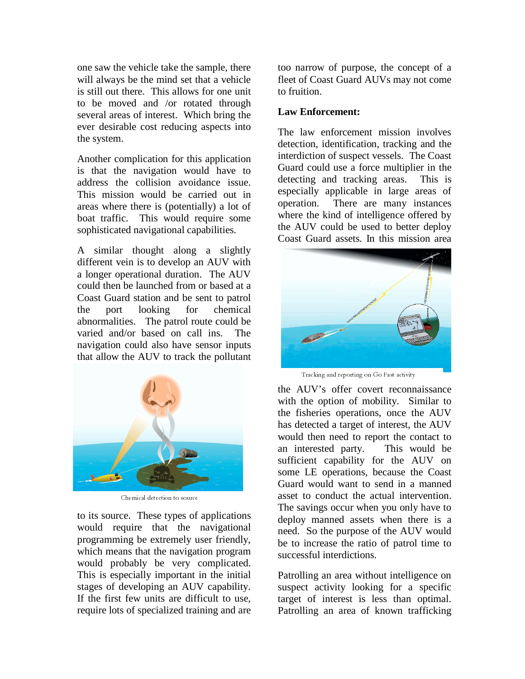one saw the vehicle take the sample, there will always be the mind set that a vehicle is still out there. This allows for one unit to be moved and /or rotated through several areas of interest. Which bring the ever desirable cost reducing aspects into the system.

Another complication for this application is that the navigation would have to address the collision avoidance issue. This mission would be carried out in areas where there is (potentially) a lot of boat traffic. This would require some sophisticated navigational capabilities.

A similar thought along a slightly different vein is to develop an AUV with a longer operational duration. The AUV could then be launched from or based at a Coast Guard station and be sent to patrol the port looking for chemical abnormalities. The patrol route could be varied and/or based on call ins. navigation could also have sensor inputs that allow the AUV to track the pollutant



Chemical detection to source

to its source. These types of applications would require that the navigational programming be extremely user friendly, which means that the navigation program would probably be very complicated. This is especially important in the initial stages of developing an AUV capability. If the first few units are difficult to use, require lots of specialized training and are too narrow of purpose, the concept of a fleet of Coast Guard AUVs may not come to fruition.

#### **Law Enforcement:**

The law enforcement mission involves detection, identification, tracking and the interdiction of suspect vessels. The Coast Guard could use a force multiplier in the detecting and tracking areas. This is especially applicable in large areas of operation. There are many instances where the kind of intelligence offered by the AUV could be used to better deploy Coast Guard assets. In this mission area



Tracking and reporting on Go Fast activity

the AUV's offer covert reconnaissance with the option of mobility. Similar to the fisheries operations, once the AUV has detected a target of interest, the AUV would then need to report the contact to an interested party. This would be sufficient capability for the AUV on some LE operations, because the Coast Guard would want to send in a manned asset to conduct the actual intervention. The savings occur when you only have to deploy manned assets when there is a need. So the purpose of the AUV would be to increase the ratio of patrol time to successful interdictions.

Patrolling an area without intelligence on suspect activity looking for a specific target of interest is less than optimal. Patrolling an area of known trafficking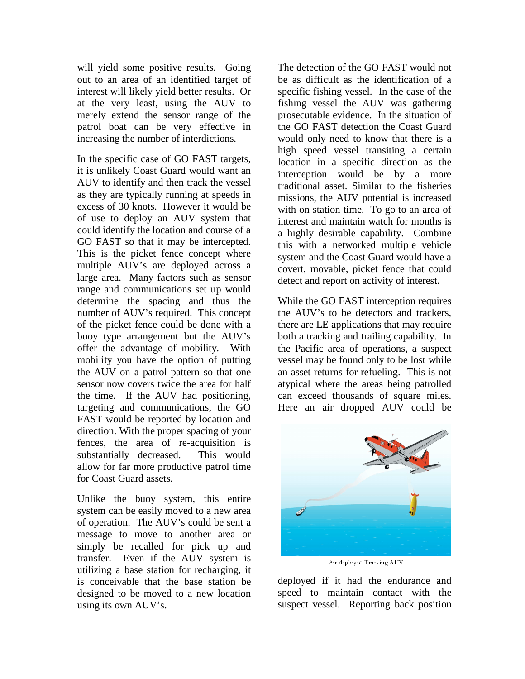will yield some positive results. Going out to an area of an identified target of interest will likely yield better results. Or at the very least, using the AUV to merely extend the sensor range of the patrol boat can be very effective in increasing the number of interdictions.

In the specific case of GO FAST targets, it is unlikely Coast Guard would want an AUV to identify and then track the vessel as they are typically running at speeds in excess of 30 knots. However it would be of use to deploy an AUV system that could identify the location and course of a GO FAST so that it may be intercepted. This is the picket fence concept where multiple AUV's are deployed across a large area. Many factors such as sensor range and communications set up would determine the spacing and thus the number of AUV's required. This concept of the picket fence could be done with a buoy type arrangement but the AUV's offer the advantage of mobility. With mobility you have the option of putting the AUV on a patrol pattern so that one sensor now covers twice the area for half the time. If the AUV had positioning, targeting and communications, the GO FAST would be reported by location and direction. With the proper spacing of your fences, the area of re-acquisition is substantially decreased. This would allow for far more productive patrol time for Coast Guard assets.

Unlike the buoy system, this entire system can be easily moved to a new area of operation. The AUV's could be sent a message to move to another area or simply be recalled for pick up and transfer. Even if the AUV system is utilizing a base station for recharging, it is conceivable that the base station be designed to be moved to a new location using its own AUV's.

The detection of the GO FAST would not be as difficult as the identification of a specific fishing vessel. In the case of the fishing vessel the AUV was gathering prosecutable evidence. In the situation of the GO FAST detection the Coast Guard would only need to know that there is a high speed vessel transiting a certain location in a specific direction as the interception would be by a more traditional asset. Similar to the fisheries missions, the AUV potential is increased with on station time. To go to an area of interest and maintain watch for months is a highly desirable capability. Combine this with a networked multiple vehicle system and the Coast Guard would have a covert, movable, picket fence that could detect and report on activity of interest.

While the GO FAST interception requires the AUV's to be detectors and trackers, there are LE applications that may require both a tracking and trailing capability. In the Pacific area of operations, a suspect vessel may be found only to be lost while an asset returns for refueling. This is not atypical where the areas being patrolled can exceed thousands of square miles. Here an air dropped AUV could be



Air deployed Tracking AUV

deployed if it had the endurance and speed to maintain contact with the suspect vessel. Reporting back position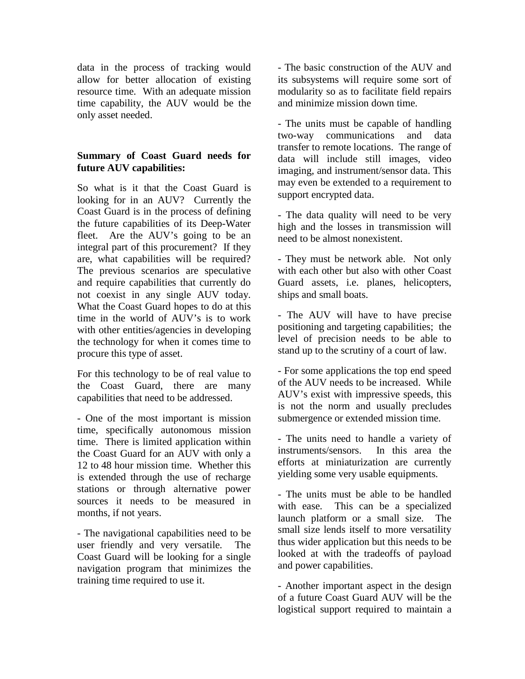data in the process of tracking would allow for better allocation of existing resource time. With an adequate mission time capability, the AUV would be the only asset needed.

## **Summary of Coast Guard needs for future AUV capabilities:**

So what is it that the Coast Guard is looking for in an AUV? Currently the Coast Guard is in the process of defining the future capabilities of its Deep-Water fleet. Are the AUV's going to be an integral part of this procurement? If they are, what capabilities will be required? The previous scenarios are speculative and require capabilities that currently do not coexist in any single AUV today. What the Coast Guard hopes to do at this time in the world of AUV's is to work with other entities/agencies in developing the technology for when it comes time to procure this type of asset.

For this technology to be of real value to the Coast Guard, there are many capabilities that need to be addressed.

- One of the most important is mission time, specifically autonomous mission time. There is limited application within the Coast Guard for an AUV with only a 12 to 48 hour mission time. Whether this is extended through the use of recharge stations or through alternative power sources it needs to be measured in months, if not years.

- The navigational capabilities need to be user friendly and very versatile. The Coast Guard will be looking for a single navigation program that minimizes the training time required to use it.

- The basic construction of the AUV and its subsystems will require some sort of modularity so as to facilitate field repairs and minimize mission down time.

- The units must be capable of handling two-way communications and data transfer to remote locations. The range of data will include still images, video imaging, and instrument/sensor data. This may even be extended to a requirement to support encrypted data.

- The data quality will need to be very high and the losses in transmission will need to be almost nonexistent.

- They must be network able. Not only with each other but also with other Coast Guard assets, i.e. planes, helicopters, ships and small boats.

- The AUV will have to have precise positioning and targeting capabilities; the level of precision needs to be able to stand up to the scrutiny of a court of law.

- For some applications the top end speed of the AUV needs to be increased. While AUV's exist with impressive speeds, this is not the norm and usually precludes submergence or extended mission time.

- The units need to handle a variety of instruments/sensors. In this area the efforts at miniaturization are currently yielding some very usable equipments.

- The units must be able to be handled with ease. This can be a specialized launch platform or a small size. The small size lends itself to more versatility thus wider application but this needs to be looked at with the tradeoffs of payload and power capabilities.

- Another important aspect in the design of a future Coast Guard AUV will be the logistical support required to maintain a